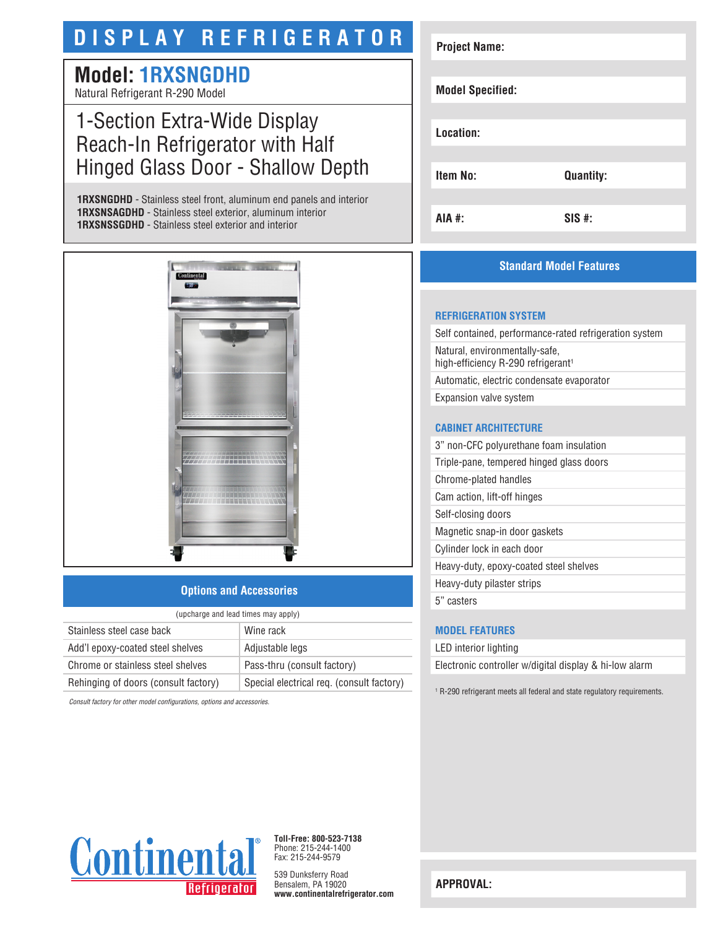## **DISPLAY REFRIGERATOR**

# **Model: 1RXSNGDHD**

Natural Refrigerant R-290 Model

### 1-Section Extra-Wide Display Reach-In Refrigerator with Half Hinged Glass Door - Shallow Depth

**1RXSNGDHD** - Stainless steel front, aluminum end panels and interior **1RXSNSAGDHD** - Stainless steel exterior, aluminum interior **1RXSNSSGDHD** - Stainless steel exterior and interior



#### **Options and Accessories**

| (upcharge and lead times may apply)  |                                           |  |
|--------------------------------------|-------------------------------------------|--|
| Stainless steel case back            | Wine rack                                 |  |
| Add'l epoxy-coated steel shelves     | Adjustable legs                           |  |
| Chrome or stainless steel shelves    | Pass-thru (consult factory)               |  |
| Rehinging of doors (consult factory) | Special electrical req. (consult factory) |  |

*Consult factory for other model configurations, options and accessories.*

| <b>Project Name:</b>    |                  |
|-------------------------|------------------|
|                         |                  |
| <b>Model Specified:</b> |                  |
|                         |                  |
| Location:               |                  |
|                         |                  |
| <b>Item No:</b>         | <b>Quantity:</b> |
|                         |                  |
| <b>AIA #:</b>           | $SIS$ #:         |

#### **Standard Model Features**

#### **REFRIGERATION SYSTEM**

Self contained, performance-rated refrigeration system Natural, environmentally-safe, high-efficiency R-290 refrigerant<sup>1</sup> Automatic, electric condensate evaporator Expansion valve system

#### **CABINET ARCHITECTURE**

3" non-CFC polyurethane foam insulation Triple-pane, tempered hinged glass doors Chrome-plated handles Cam action, lift-off hinges Self-closing doors Magnetic snap-in door gaskets Cylinder lock in each door Heavy-duty, epoxy-coated steel shelves Heavy-duty pilaster strips 5" casters

#### **MODEL FEATURES**

LED interior lighting Electronic controller w/digital display & hi-low alarm

1 R-290 refrigerant meets all federal and state regulatory requirements.



**Toll-Free: 800-523-7138** Phone: 215-244-1400 Fax: 215-244-9579

539 Dunksferry Road Bensalem, PA 19020 **www.continentalrefrigerator.com** 

**APPROVAL:**